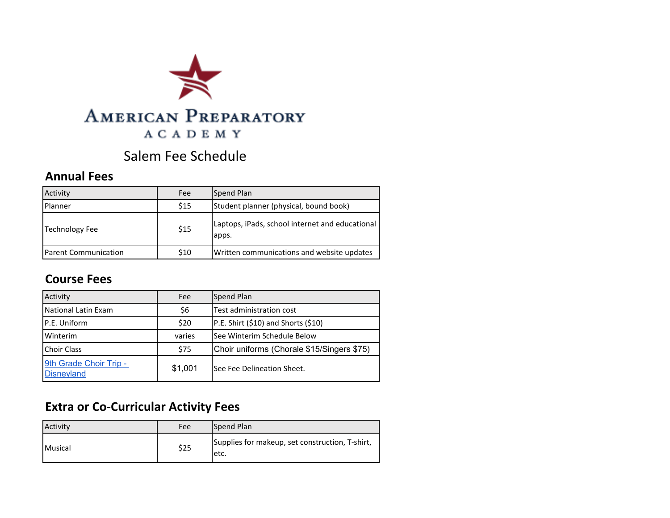

# Salem Fee Schedule

#### **Annual Fees**

| Activity                    | Fee  | Spend Plan                                               |
|-----------------------------|------|----------------------------------------------------------|
| Planner                     | \$15 | Student planner (physical, bound book)                   |
| <b>Technology Fee</b>       | \$15 | Laptops, iPads, school internet and educational<br>apps. |
| <b>Parent Communication</b> | \$10 | Written communications and website updates               |

#### **Course Fees**

| Activity                                    | Fee     | Spend Plan                                 |
|---------------------------------------------|---------|--------------------------------------------|
| National Latin Exam                         | \$6     | Test administration cost                   |
| P.E. Uniform                                | \$20    | P.E. Shirt (\$10) and Shorts (\$10)        |
| Winterim                                    | varies  | See Winterim Schedule Below                |
| <b>Choir Class</b>                          | \$75    | Choir uniforms (Chorale \$15/Singers \$75) |
| 9th Grade Choir Trip -<br><b>Disneyland</b> | \$1,001 | See Fee Delineation Sheet.                 |

# **Extra or Co-Curricular Activity Fees**

| Activity       | Fee  | Spend Plan                                               |
|----------------|------|----------------------------------------------------------|
| <b>Musical</b> | \$25 | Supplies for makeup, set construction, T-shirt,<br>letc. |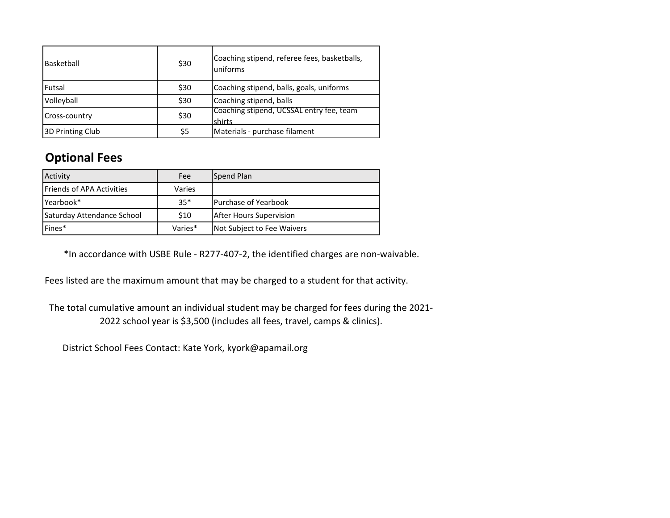| Basketball       | \$30 | Coaching stipend, referee fees, basketballs,<br>uniforms |
|------------------|------|----------------------------------------------------------|
| Futsal           | \$30 | Coaching stipend, balls, goals, uniforms                 |
| Volleyball       | \$30 | Coaching stipend, balls                                  |
| Cross-country    | \$30 | Coaching stipend, UCSSAL entry fee, team<br>shirts       |
| 3D Printing Club | \$5  | Materials - purchase filament                            |

### **Optional Fees**

| Activity                         | Fee     | Spend Plan                   |
|----------------------------------|---------|------------------------------|
| <b>Friends of APA Activities</b> | Varies  |                              |
| Yearbook*                        | $35*$   | <b>IPurchase of Yearbook</b> |
| Saturday Attendance School       | \$10    | After Hours Supervision      |
| Fines*                           | Varies* | Not Subject to Fee Waivers   |

\*In accordance with USBE Rule - R277-407-2, the identified charges are non-waivable.

Fees listed are the maximum amount that may be charged to a student for that activity.

The total cumulative amount an individual student may be charged for fees during the 2021- 2022 school year is \$3,500 (includes all fees, travel, camps & clinics).

District School Fees Contact: Kate York, kyork@apamail.org